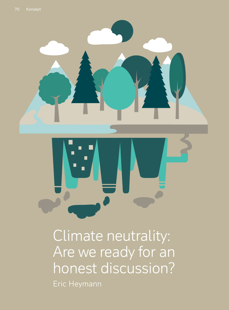



Climate neutrality: Are we ready for an honest discussion? Eric Heymann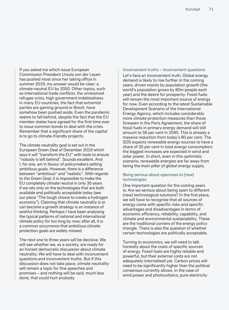If you asked me which issue European Commission President Ursula von der Leyen has pushed most since her taking office in summer 2019, my answer would be clear: a climate-neutral EU by 2050. Other topics, such as international trade conflicts, the unresolved refugee crisis, high government indebtedness in many EU countries, the fact that extremist parties are gaining ground or Brexit, have somehow been pushed aside. Even the pandemic seems to fall behind, despite the fact that the EU member states have agreed for the first time ever to issue common bonds to deal with the crisis. Remember that a significant share of the capital is to go to climate-friendly projects.

The climate neutrality goal is set out in the European Green Deal of December 2019 which says it will "transform the EU" with tools to ensure "nobody is left behind". Sounds excellent. And I, for one, am in favour of policymakers setting ambitious goals. However, there is a difference between "ambitious" and "realistic". With regards to the Green Deal, it is impossible to make the EU completely climate neutral in only 30 years if we rely only on the technologies that are both available and politically acceptable today (see our piece "The tough choice to create a hydrogen economy"). Claiming that climate neutrality is or can become a growth strategy is an instance of wishful thinking. Perhaps I have been analysing the typical patterns of national and international climate policy for too long by now; after all, it is a common occurrence that ambitious climate protection goals are widely missed.

The next one to three years will be decisive. We will see whether we, as a society, are ready for an honest democratic discussion about climate neutrality. We will have to deal with inconvenient questions and inconvenient truths. But if this discussion does not take place, climate neutrality will remain a topic for fine speeches and promises – and nothing will be said, much less done, that could hurt anybody.

#### Inconvenient truths – inconvenient questions

Let's face an inconvenient truth. Global energy demand is likely to rise further in the coming years, driven mainly by population growth (the world's population grows by 80m people each year) and the desire for prosperity. Fossil fuels will remain the most important source of energy for now. Even according to the latest Sustainable Development Scenario of the International Energy Agency, which includes considerably more climate protection measures than those foreseen in the Paris Agreement, the share of fossil fuels in primary energy demand will still amount to 56 per cent in 2040. This is already a massive reduction from today's 80 per cent. The SDS expects renewable energy sources to have a share of 35 per cent in total energy consumption; the biggest increases are expected in wind and solar power. In short, even in this optimistic scenario, renewable energies are far away from being the main pillar of global energy supply.

# Being serious about openness to (new) technologies

One important question for the coming years is: Are we serious about being open to different (new) technological solutions? In the first place, we will have to recognise that all sources of energy come with specific risks and specific advantages and disadvantages in terms of economic efficiency, reliability, capability, and climate and environmental sustainability. These are the traditional corners of the energy policy triangle. There is also the question of whether certain technologies are politically acceptable.

Turning to economics, we will need to talk honestly about the costs of specific sources of energy. Fossil fuels are highly reliable and powerful, but their external costs are not adequately internalised yet. Carbon prices will need to be significantly higher than the political consensus currently allows. In the case of wind power and photovoltaics, pure electricity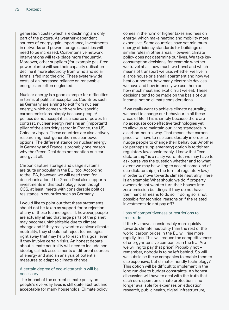generation costs (which are declining) are only part of the picture. As weather-dependent sources of energy gain importance, investments in networks and power storage capacities will need to be increased. Cost-intensive network interventions will take place more frequently. Moreover, other suppliers (for example gas-fired power plants) will see their capacity utilisation decline if more electricity from wind and solar farms is fed into the grid. These system-wide costs of an increased reliance on renewable energies are often neglected.

Nuclear energy is a good example for difficulties in terms of political acceptance. Countries such as Germany are aiming to exit from nuclear energy, which comes with very low specific carbon emissions, simply because people/ politics do not accept it as a source of power. In contrast, nuclear energy remains an (important) pillar of the electricity sector in France, the US, China or Japan. These countries are also actively researching next-generation nuclear power options. The different stance on nuclear energy in Germany and France is probably one reason why the Green Deal does not mention nuclear energy at all.

Carbon capture storage and usage systems are quite unpopular in the EU, too. According to the IEA, however, we will need them for decarbonisation. The Green Deal also supports investments in this technology, even though CCS, at least, meets with considerable political resistance in countries such as Germany.

I would like to point out that these statements should not be taken as support for or rejection of any of these technologies. If, however, people are actually afraid that large parts of the planet may become uninhabitable due to climate change and if they really want to achieve climate neutrality, they should not reject technologies right away that may help to reach this goal, even if they involve certain risks. An honest debate about climate neutrality will need to include nonideological risk assessments of different sources of energy and also an analysis of potential measures to adapt to climate change.

# A certain degree of eco-dictatorship will be necessary

The impact of the current climate policy on people's everyday lives is still quite abstract and acceptable for many households. Climate policy

comes in the form of higher taxes and fees on energy, which make heating and mobility more expensive. Some countries have set minimum energy efficiency standards for buildings or similar rules in other areas. However, climate policy does not determine our lives. We take key consumption decisions, for example whether we travel at all, how much we travel and which means of transport we use, whether we live in a large house or a small apartment and how we heat our homes, how many electronic devices we have and how intensely we use them or how much meat and exotic fruit we eat. These decisions tend to be made on the basis of our income, not on climate considerations.

If we really want to achieve climate neutrality, we need to change our behaviour in all these areas of life. This is simply because there are no adequate cost-effective technologies yet to allow us to maintain our living standards in a carbon-neutral way. That means that carbon prices will have to rise considerably in order to nudge people to change their behaviour. Another (or perhaps supplementary) option is to tighten regulatory law considerably. I know that "ecodictatorship" is a nasty word. But we may have to ask ourselves the question whether and to what extent we may be willing to accept some kind of eco-dictatorship (in the form of regulatory law) in order to move towards climate neutrality. Here is an example: What should we do if property owners do not want to turn their houses into zero-emission buildings; if they do not have the financial means to do so; if doing so is not possible for technical reasons or if the related investments do not pay off?

# Loss of competitiveness or restrictions to free trade

If the EU moves considerably more quickly towards climate neutrality than the rest of the world, carbon prices in the EU will rise more rapidly, too. This will reduce the competitiveness of energy-intensive companies in the EU. Are we willing to pay that price? Probably not – remember, nobody is to be left behind. So will we subsidise these companies to enable them to use expensive, but climate-friendly technology? This option will be difficult to implement in the long run due to budget constraints. An honest discussion will have to deal with the truth that each euro spent on climate protection is no longer available for expenses on education, research, public health, digital infrastructure,